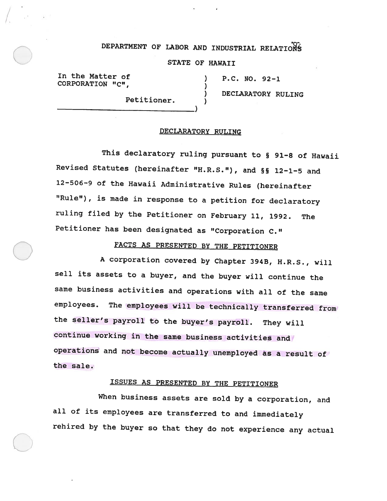# DEPARTMENT OF LABOR AND INDUSTRIAL RELATIONS

STATE OF HAWAII

In the Matter of (1) P.C. NO. 92-1 CORPORATION "C",

 $\bigcirc$ 

) DECLARATORY RULING Petitioner.

#### DECLARATORY RULING

This declaratory ruling pursuant to § 91-8 of Hawaii Revised Statutes (hereinafter "H.R.S."), and §S 12—1—5 and 12-506-9 of the Hawaii Administrative Rules (hereinafter "Rule"), is made in response to <sup>a</sup> petition for declaratory ruling filed by the Petitioner on February 11, 1992. The Petitioner has been designated as "Corporation C."

FACTS AS PRESENTED BY THE PETITIONER

A corporation covered by Chapter 394B, H.R.S., will sell its assets to <sup>a</sup> buyer, and the buyer will continue the same business activities and operations with all of the same employees. The employees will be technically transferred from the seller's payroll to the buyer's payroll. They will continue working in the same business activities and operations and not become actually unemployed as <sup>a</sup> result of the sale.

## ISSUES AS PRESENTED BY THE PETITIONER

When business assets are sold by <sup>a</sup> corporation, and all of its employees are transferred to and immediately rehired by the buyer so that they do not experience any actual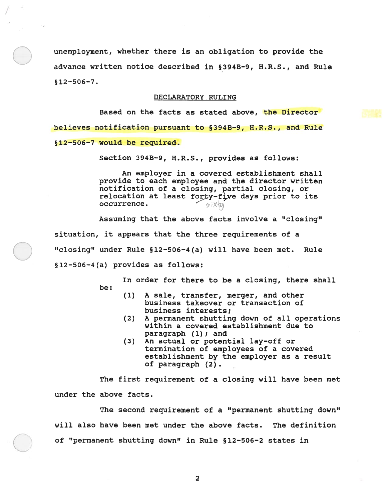unemployment, whether there is an obligation to provide the advance written notice described in §394B-9, H.R.S., and Rule §12—506—7.

#### DECLARATORY RULING

Based on the facts as stated above, the Director believes notification pursuan<sup>t</sup> to §394B-9, H.R.S., and Rule §12-506—7 would be required.

Section 394B-9, H.R.S., provides as follows:

An employer in <sup>a</sup> covered establishment shall provide to each employee and the director written notification of <sup>a</sup> closing, partial closing, or relocation at least forty-five days prior to its occurrence.

Assuming that the above facts involve <sup>a</sup> "closing" situation, it appears that the three requirements of <sup>a</sup> "closing" under Rule §12-506-4(a) will have been met. Rule §12—506—4(a) provides as follows:

> In order for there to be <sup>a</sup> closing, there shall be:

- (1) A sale, transfer, merger, and other business takeover or transaction of business interests;
- (2) A permanen<sup>t</sup> shutting down of all operations within <sup>a</sup> covered establishment due to paragraph (1); and
- (3) An actual or potential lay-off or termination of employees of <sup>a</sup> covered establishment by the employer as <sup>a</sup> result of paragraph (2).

The first requirement of <sup>a</sup> closing will have been met under the above facts.

The second requirement of <sup>a</sup> "permanent shutting down" will also have been met under the above facts. The definition of "permanent shutting down" in Rule §12-506—2 states in

2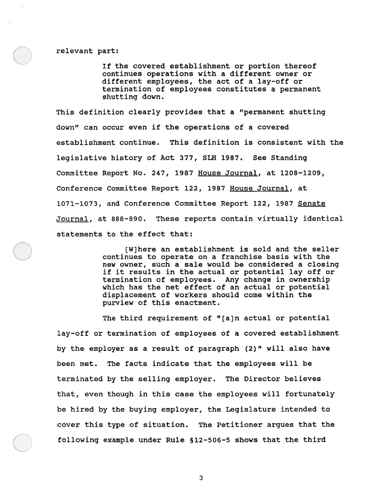relevant part:

If the covered establishment or portion thereof continues operations with <sup>a</sup> different owner or different employees, the act of <sup>a</sup> lay-off or termination of employees constitutes <sup>a</sup> permanen<sup>t</sup> shutting down.

This definition clearly provides that <sup>a</sup> "permanent shutting down" can occur even if the operations of <sup>a</sup> covered establishment continue. This definition is consistent with the legislative history of Act 377, SLH 1987. See Standing Committee Report No. 247, 1987 House Journal, at 1208—1209, Conference Committee Report 122, 1987 House Journal, at 1071—1073, and Conference Committee Report 122, 1987 Senate Journal, at 888-890. These reports contain virtually identical statements to the effect that:

> [W] here an establishment is sold and the seller continues to operate on <sup>a</sup> franchise basis with the new owner, such <sup>a</sup> sale would be considered <sup>a</sup> closing if it results in the actual or potential lay off or termination of employees. Any change in ownership which has the net effect of an actual or potential displacement of workers should come within the purview of this enactment.

The third requirement of "[a)n actual or potential lay—off or termination of employees of <sup>a</sup> covered establishment by the employer as <sup>a</sup> result of paragraph (2)" will also have been met. The facts indicate that the employees will be terminated by the selling employer. The Director believes that, even though in this case the employees will fortunately be hired by the buying employer, the Legislature intended to cover this type of situation. The Petitioner argues that the following example under Rule § 12-506-5 shows that the third

3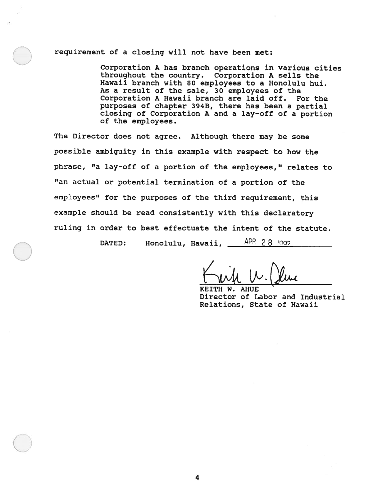### requirement of <sup>a</sup> closing will not have been met:

Corporation A has branch operations in various cities throughout the country. Corporation A sells the Hawaii branch with 80 employees to <sup>a</sup> Honolulu hui. As <sup>a</sup> result of the sale, 30 employees of the Corporation A Hawaii branch are laid off. For the purposes of chapter 3943, there has been <sup>a</sup> partial closing of Corporation <sup>A</sup> and <sup>a</sup> lay-off of <sup>a</sup> portion of the employees.

The Director does not agree. Although there may be some possible ambiguity in this example with respect to how the <sup>p</sup>hrase, "a lay-off of <sup>a</sup> portion of the employees," relates to "an actual or potential termination of <sup>a</sup> portion of the employees" for the purposes of the third requirement, this example should be read consistently with this declaratory ruling in order to best effectuate the intent of the statute.

DATED: Honolulu, Hawaii, APR 28 1002

**AHUE** Director of Labor and Industrial Relations, State of Hawaii